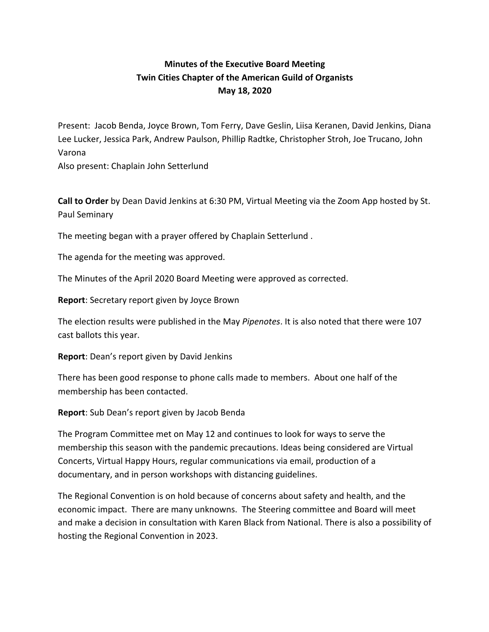# **Minutes of the Executive Board Meeting Twin Cities Chapter of the American Guild of Organists May 18, 2020**

Present: Jacob Benda, Joyce Brown, Tom Ferry, Dave Geslin, Liisa Keranen, David Jenkins, Diana Lee Lucker, Jessica Park, Andrew Paulson, Phillip Radtke, Christopher Stroh, Joe Trucano, John Varona

Also present: Chaplain John Setterlund

**Call to Order** by Dean David Jenkins at 6:30 PM, Virtual Meeting via the Zoom App hosted by St. Paul Seminary

The meeting began with a prayer offered by Chaplain Setterlund .

The agenda for the meeting was approved.

The Minutes of the April 2020 Board Meeting were approved as corrected.

**Report**: Secretary report given by Joyce Brown

The election results were published in the May *Pipenotes*. It is also noted that there were 107 cast ballots this year.

**Report**: Dean's report given by David Jenkins

There has been good response to phone calls made to members. About one half of the membership has been contacted.

**Report**: Sub Dean's report given by Jacob Benda

The Program Committee met on May 12 and continues to look for ways to serve the membership this season with the pandemic precautions. Ideas being considered are Virtual Concerts, Virtual Happy Hours, regular communications via email, production of a documentary, and in person workshops with distancing guidelines.

The Regional Convention is on hold because of concerns about safety and health, and the economic impact. There are many unknowns. The Steering committee and Board will meet and make a decision in consultation with Karen Black from National. There is also a possibility of hosting the Regional Convention in 2023.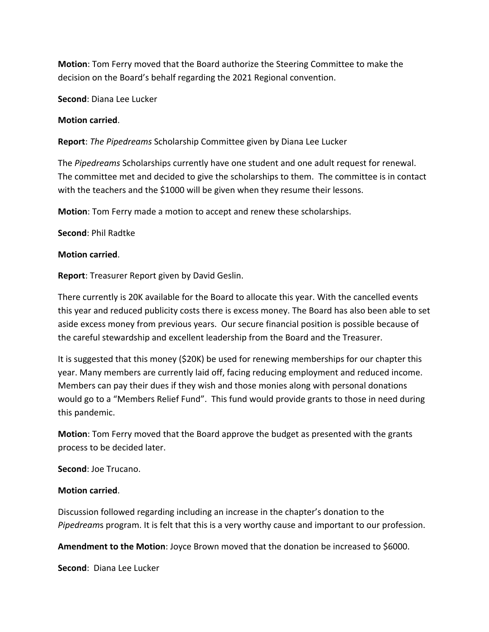**Motion**: Tom Ferry moved that the Board authorize the Steering Committee to make the decision on the Board's behalf regarding the 2021 Regional convention.

**Second**: Diana Lee Lucker

### **Motion carried**.

**Report**: *The Pipedreams* Scholarship Committee given by Diana Lee Lucker

The *Pipedreams* Scholarships currently have one student and one adult request for renewal. The committee met and decided to give the scholarships to them. The committee is in contact with the teachers and the \$1000 will be given when they resume their lessons.

**Motion**: Tom Ferry made a motion to accept and renew these scholarships.

### **Second**: Phil Radtke

#### **Motion carried**.

**Report**: Treasurer Report given by David Geslin.

There currently is 20K available for the Board to allocate this year. With the cancelled events this year and reduced publicity costs there is excess money. The Board has also been able to set aside excess money from previous years. Our secure financial position is possible because of the careful stewardship and excellent leadership from the Board and the Treasurer.

It is suggested that this money (\$20K) be used for renewing memberships for our chapter this year. Many members are currently laid off, facing reducing employment and reduced income. Members can pay their dues if they wish and those monies along with personal donations would go to a "Members Relief Fund". This fund would provide grants to those in need during this pandemic.

**Motion**: Tom Ferry moved that the Board approve the budget as presented with the grants process to be decided later.

**Second**: Joe Trucano.

#### **Motion carried**.

Discussion followed regarding including an increase in the chapter's donation to the *Pipedream*s program. It is felt that this is a very worthy cause and important to our profession.

**Amendment to the Motion**: Joyce Brown moved that the donation be increased to \$6000.

**Second**: Diana Lee Lucker